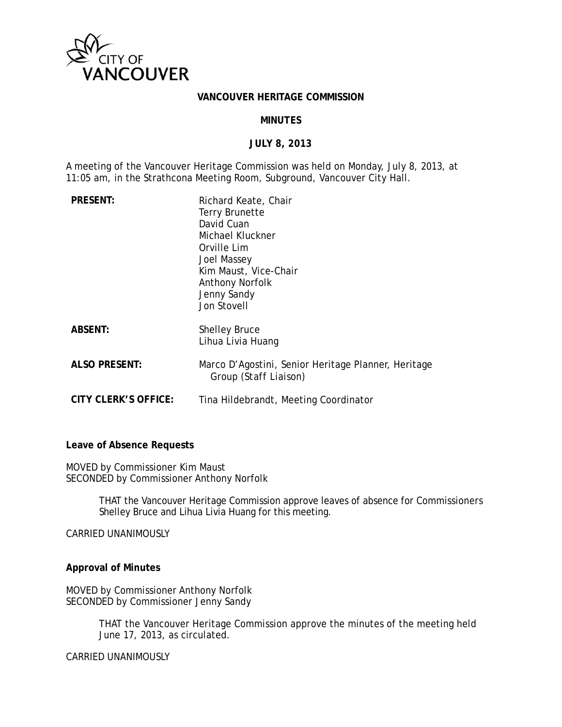

#### **VANCOUVER HERITAGE COMMISSION**

#### **MINUTES**

#### **JULY 8, 2013**

A meeting of the Vancouver Heritage Commission was held on Monday, July 8, 2013, at 11:05 am, in the Strathcona Meeting Room, Subground, Vancouver City Hall.

| <b>PRESENT:</b>      | Richard Keate, Chair<br><b>Terry Brunette</b><br>David Cuan<br>Michael Kluckner<br>Orville Lim<br>Joel Massey<br>Kim Maust, Vice-Chair<br><b>Anthony Norfolk</b><br>Jenny Sandy<br>Jon Stovell |
|----------------------|------------------------------------------------------------------------------------------------------------------------------------------------------------------------------------------------|
| <b>ABSENT:</b>       | <b>Shelley Bruce</b><br>Lihua Livia Huang                                                                                                                                                      |
| <b>ALSO PRESENT:</b> | Marco D'Agostini, Senior Heritage Planner, Heritage<br>Group (Staff Liaison)                                                                                                                   |
| CITY CLERK'S OFFICE: | Tina Hildebrandt, Meeting Coordinator                                                                                                                                                          |

#### **Leave of Absence Requests**

MOVED by Commissioner Kim Maust SECONDED by Commissioner Anthony Norfolk

> THAT the Vancouver Heritage Commission approve leaves of absence for Commissioners Shelley Bruce and Lihua Livia Huang for this meeting.

CARRIED UNANIMOUSLY

#### **Approval of Minutes**

MOVED by Commissioner Anthony Norfolk SECONDED by Commissioner Jenny Sandy

> THAT the Vancouver Heritage Commission approve the minutes of the meeting held June 17, 2013, as circulated.

CARRIED UNANIMOUSLY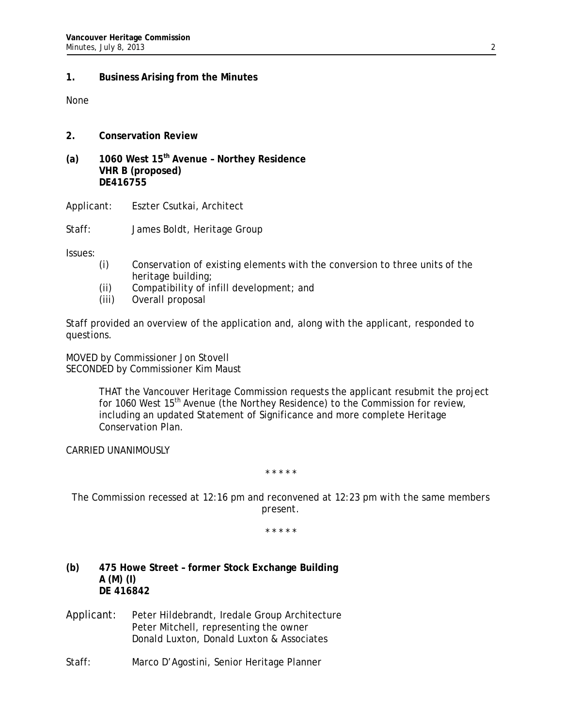### **1. Business Arising from the Minutes**

None

### **2. Conservation Review**

**(a) 1060 West 15th Avenue – Northey Residence VHR B (proposed) DE416755**

Applicant: Eszter Csutkai, Architect

Staff: James Boldt, Heritage Group

Issues:

- (i) Conservation of existing elements with the conversion to three units of the heritage building;
- (ii) Compatibility of infill development; and
- (iii) Overall proposal

Staff provided an overview of the application and, along with the applicant, responded to questions.

MOVED by Commissioner Jon Stovell SECONDED by Commissioner Kim Maust

> THAT the Vancouver Heritage Commission requests the applicant resubmit the project for 1060 West 15<sup>th</sup> Avenue (the Northey Residence) to the Commission for review, including an updated Statement of Significance and more complete Heritage Conservation Plan.

CARRIED UNANIMOUSLY

*\* \* \* \* \** 

*The Commission recessed at 12:16 pm and reconvened at 12:23 pm with the same members present.* 

*\* \* \* \* \** 

- **(b) 475 Howe Street former Stock Exchange Building A (M) (I) DE 416842**
- Applicant: Peter Hildebrandt, Iredale Group Architecture Peter Mitchell, representing the owner Donald Luxton, Donald Luxton & Associates

Staff: Marco D'Agostini, Senior Heritage Planner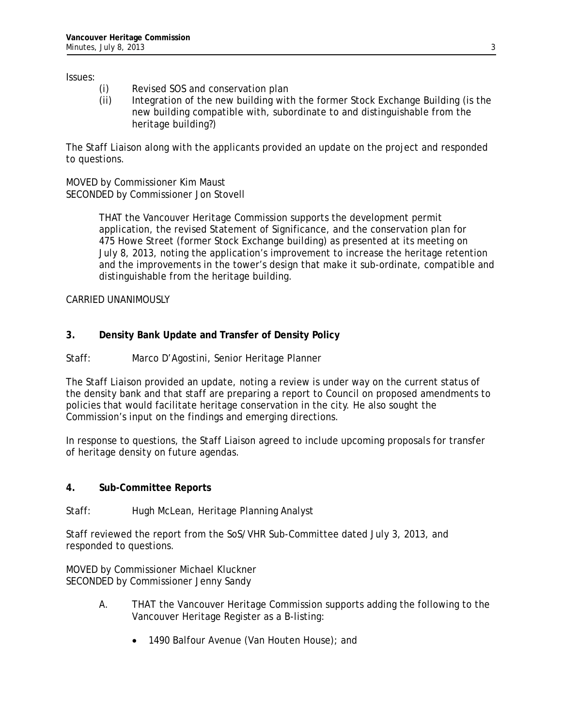Issues:

- (i) Revised SOS and conservation plan
- (ii) Integration of the new building with the former Stock Exchange Building (is the new building compatible with, subordinate to and distinguishable from the heritage building?)

The Staff Liaison along with the applicants provided an update on the project and responded to questions.

MOVED by Commissioner Kim Maust SECONDED by Commissioner Jon Stovell

> THAT the Vancouver Heritage Commission supports the development permit application, the revised Statement of Significance, and the conservation plan for 475 Howe Street (former Stock Exchange building) as presented at its meeting on July 8, 2013, noting the application's improvement to increase the heritage retention and the improvements in the tower's design that make it sub-ordinate, compatible and distinguishable from the heritage building.

CARRIED UNANIMOUSLY

# **3. Density Bank Update and Transfer of Density Policy**

## Staff: Marco D'Agostini, Senior Heritage Planner

The Staff Liaison provided an update, noting a review is under way on the current status of the density bank and that staff are preparing a report to Council on proposed amendments to policies that would facilitate heritage conservation in the city. He also sought the Commission's input on the findings and emerging directions.

In response to questions, the Staff Liaison agreed to include upcoming proposals for transfer of heritage density on future agendas.

### **4. Sub-Committee Reports**

Staff: Hugh McLean, Heritage Planning Analyst

Staff reviewed the report from the SoS/VHR Sub-Committee dated July 3, 2013, and responded to questions.

MOVED by Commissioner Michael Kluckner SECONDED by Commissioner Jenny Sandy

- A. THAT the Vancouver Heritage Commission supports adding the following to the Vancouver Heritage Register as a B-listing:
	- 1490 Balfour Avenue (Van Houten House); and